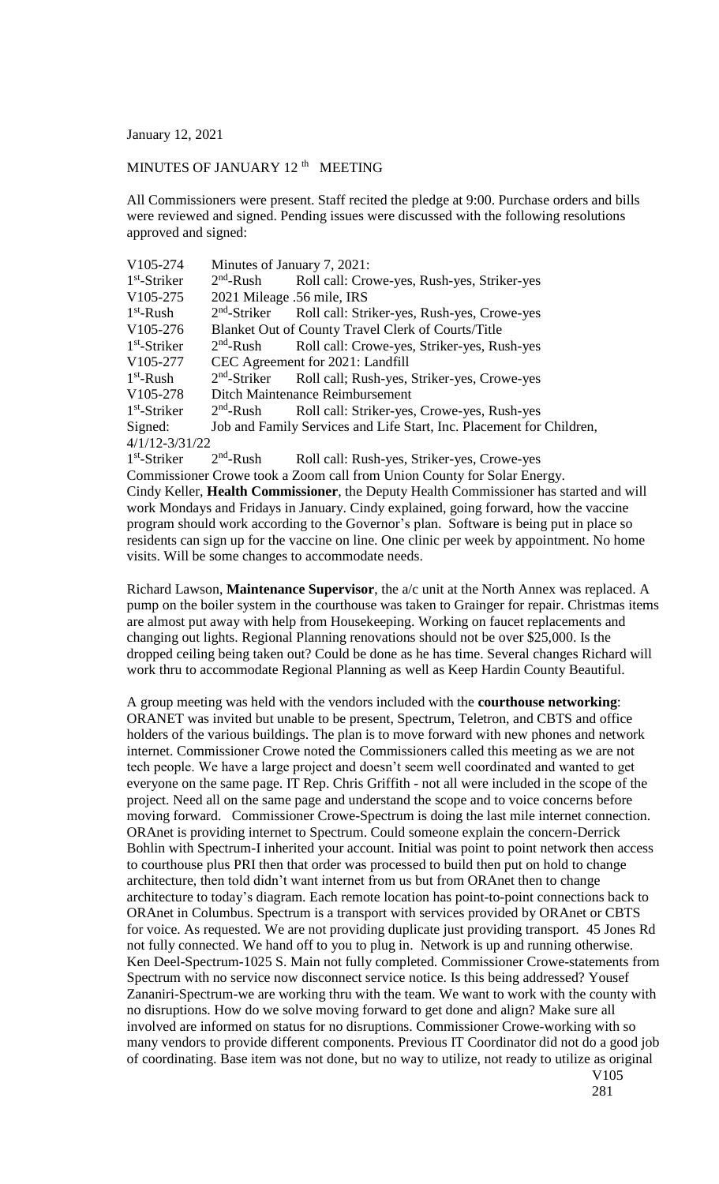January 12, 2021

## MINUTES OF JANUARY 12<sup>th</sup> MEETING

All Commissioners were present. Staff recited the pledge at 9:00. Purchase orders and bills were reviewed and signed. Pending issues were discussed with the following resolutions approved and signed:

| V105-274                                                                | Minutes of January 7, 2021:                                          |                                             |
|-------------------------------------------------------------------------|----------------------------------------------------------------------|---------------------------------------------|
| $1st$ -Striker                                                          | $2nd$ -Rush                                                          | Roll call: Crowe-yes, Rush-yes, Striker-yes |
| V105-275                                                                | 2021 Mileage .56 mile, IRS                                           |                                             |
| $1st$ -Rush                                                             | $2nd$ -Striker                                                       | Roll call: Striker-yes, Rush-yes, Crowe-yes |
| V105-276                                                                | Blanket Out of County Travel Clerk of Courts/Title                   |                                             |
| $1st$ -Striker                                                          | $2nd$ -Rush                                                          | Roll call: Crowe-yes, Striker-yes, Rush-yes |
| V105-277                                                                | CEC Agreement for 2021: Landfill                                     |                                             |
| $1st$ -Rush                                                             | $2nd$ -Striker                                                       | Roll call; Rush-yes, Striker-yes, Crowe-yes |
| V <sub>105</sub> -278                                                   | Ditch Maintenance Reimbursement                                      |                                             |
| $1st$ -Striker                                                          | $2nd$ -Rush                                                          | Roll call: Striker-yes, Crowe-yes, Rush-yes |
| Signed:                                                                 | Job and Family Services and Life Start, Inc. Placement for Children, |                                             |
| $4/1/12 - 3/31/22$                                                      |                                                                      |                                             |
| $1st$ -Striker                                                          | $2nd$ -Rush                                                          | Roll call: Rush-yes, Striker-yes, Crowe-yes |
| Commissioner Crowe took a Zoom call from Union County for Solar Energy. |                                                                      |                                             |

Cindy Keller, **Health Commissioner**, the Deputy Health Commissioner has started and will work Mondays and Fridays in January. Cindy explained, going forward, how the vaccine program should work according to the Governor's plan. Software is being put in place so residents can sign up for the vaccine on line. One clinic per week by appointment. No home visits. Will be some changes to accommodate needs.

Richard Lawson, **Maintenance Supervisor**, the a/c unit at the North Annex was replaced. A pump on the boiler system in the courthouse was taken to Grainger for repair. Christmas items are almost put away with help from Housekeeping. Working on faucet replacements and changing out lights. Regional Planning renovations should not be over \$25,000. Is the dropped ceiling being taken out? Could be done as he has time. Several changes Richard will work thru to accommodate Regional Planning as well as Keep Hardin County Beautiful.

A group meeting was held with the vendors included with the **courthouse networking**: ORANET was invited but unable to be present, Spectrum, Teletron, and CBTS and office holders of the various buildings. The plan is to move forward with new phones and network internet. Commissioner Crowe noted the Commissioners called this meeting as we are not tech people. We have a large project and doesn't seem well coordinated and wanted to get everyone on the same page. IT Rep. Chris Griffith - not all were included in the scope of the project. Need all on the same page and understand the scope and to voice concerns before moving forward. Commissioner Crowe-Spectrum is doing the last mile internet connection. ORAnet is providing internet to Spectrum. Could someone explain the concern-Derrick Bohlin with Spectrum-I inherited your account. Initial was point to point network then access to courthouse plus PRI then that order was processed to build then put on hold to change architecture, then told didn't want internet from us but from ORAnet then to change architecture to today's diagram. Each remote location has point-to-point connections back to ORAnet in Columbus. Spectrum is a transport with services provided by ORAnet or CBTS for voice. As requested. We are not providing duplicate just providing transport. 45 Jones Rd not fully connected. We hand off to you to plug in. Network is up and running otherwise. Ken Deel-Spectrum-1025 S. Main not fully completed. Commissioner Crowe-statements from Spectrum with no service now disconnect service notice. Is this being addressed? Yousef Zananiri-Spectrum-we are working thru with the team. We want to work with the county with no disruptions. How do we solve moving forward to get done and align? Make sure all involved are informed on status for no disruptions. Commissioner Crowe-working with so many vendors to provide different components. Previous IT Coordinator did not do a good job of coordinating. Base item was not done, but no way to utilize, not ready to utilize as original V105

281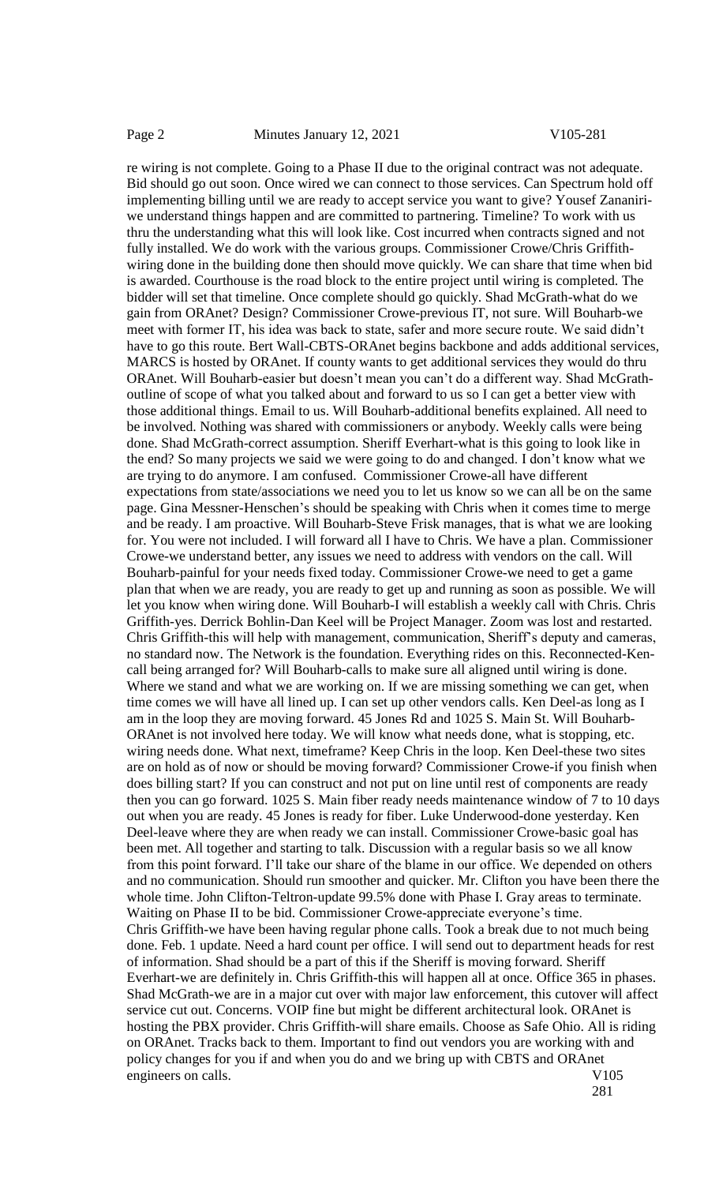re wiring is not complete. Going to a Phase II due to the original contract was not adequate. Bid should go out soon. Once wired we can connect to those services. Can Spectrum hold off implementing billing until we are ready to accept service you want to give? Yousef Zananiriwe understand things happen and are committed to partnering. Timeline? To work with us thru the understanding what this will look like. Cost incurred when contracts signed and not fully installed. We do work with the various groups. Commissioner Crowe/Chris Griffithwiring done in the building done then should move quickly. We can share that time when bid is awarded. Courthouse is the road block to the entire project until wiring is completed. The bidder will set that timeline. Once complete should go quickly. Shad McGrath-what do we gain from ORAnet? Design? Commissioner Crowe-previous IT, not sure. Will Bouharb-we meet with former IT, his idea was back to state, safer and more secure route. We said didn't have to go this route. Bert Wall-CBTS-ORAnet begins backbone and adds additional services, MARCS is hosted by ORAnet. If county wants to get additional services they would do thru ORAnet. Will Bouharb-easier but doesn't mean you can't do a different way. Shad McGrathoutline of scope of what you talked about and forward to us so I can get a better view with those additional things. Email to us. Will Bouharb-additional benefits explained. All need to be involved. Nothing was shared with commissioners or anybody. Weekly calls were being done. Shad McGrath-correct assumption. Sheriff Everhart-what is this going to look like in the end? So many projects we said we were going to do and changed. I don't know what we are trying to do anymore. I am confused. Commissioner Crowe-all have different expectations from state/associations we need you to let us know so we can all be on the same page. Gina Messner-Henschen's should be speaking with Chris when it comes time to merge and be ready. I am proactive. Will Bouharb-Steve Frisk manages, that is what we are looking for. You were not included. I will forward all I have to Chris. We have a plan. Commissioner Crowe-we understand better, any issues we need to address with vendors on the call. Will Bouharb-painful for your needs fixed today. Commissioner Crowe-we need to get a game plan that when we are ready, you are ready to get up and running as soon as possible. We will let you know when wiring done. Will Bouharb-I will establish a weekly call with Chris. Chris Griffith-yes. Derrick Bohlin-Dan Keel will be Project Manager. Zoom was lost and restarted. Chris Griffith-this will help with management, communication, Sheriff's deputy and cameras, no standard now. The Network is the foundation. Everything rides on this. Reconnected-Kencall being arranged for? Will Bouharb-calls to make sure all aligned until wiring is done. Where we stand and what we are working on. If we are missing something we can get, when time comes we will have all lined up. I can set up other vendors calls. Ken Deel-as long as I am in the loop they are moving forward. 45 Jones Rd and 1025 S. Main St. Will Bouharb-ORAnet is not involved here today. We will know what needs done, what is stopping, etc. wiring needs done. What next, timeframe? Keep Chris in the loop. Ken Deel-these two sites are on hold as of now or should be moving forward? Commissioner Crowe-if you finish when does billing start? If you can construct and not put on line until rest of components are ready then you can go forward. 1025 S. Main fiber ready needs maintenance window of 7 to 10 days out when you are ready. 45 Jones is ready for fiber. Luke Underwood-done yesterday. Ken Deel-leave where they are when ready we can install. Commissioner Crowe-basic goal has been met. All together and starting to talk. Discussion with a regular basis so we all know from this point forward. I'll take our share of the blame in our office. We depended on others and no communication. Should run smoother and quicker. Mr. Clifton you have been there the whole time. John Clifton-Teltron-update 99.5% done with Phase I. Gray areas to terminate. Waiting on Phase II to be bid. Commissioner Crowe-appreciate everyone's time. Chris Griffith-we have been having regular phone calls. Took a break due to not much being done. Feb. 1 update. Need a hard count per office. I will send out to department heads for rest of information. Shad should be a part of this if the Sheriff is moving forward. Sheriff Everhart-we are definitely in. Chris Griffith-this will happen all at once. Office 365 in phases. Shad McGrath-we are in a major cut over with major law enforcement, this cutover will affect service cut out. Concerns. VOIP fine but might be different architectural look. ORAnet is hosting the PBX provider. Chris Griffith-will share emails. Choose as Safe Ohio. All is riding on ORAnet. Tracks back to them. Important to find out vendors you are working with and policy changes for you if and when you do and we bring up with CBTS and ORAnet engineers on calls. V105

281